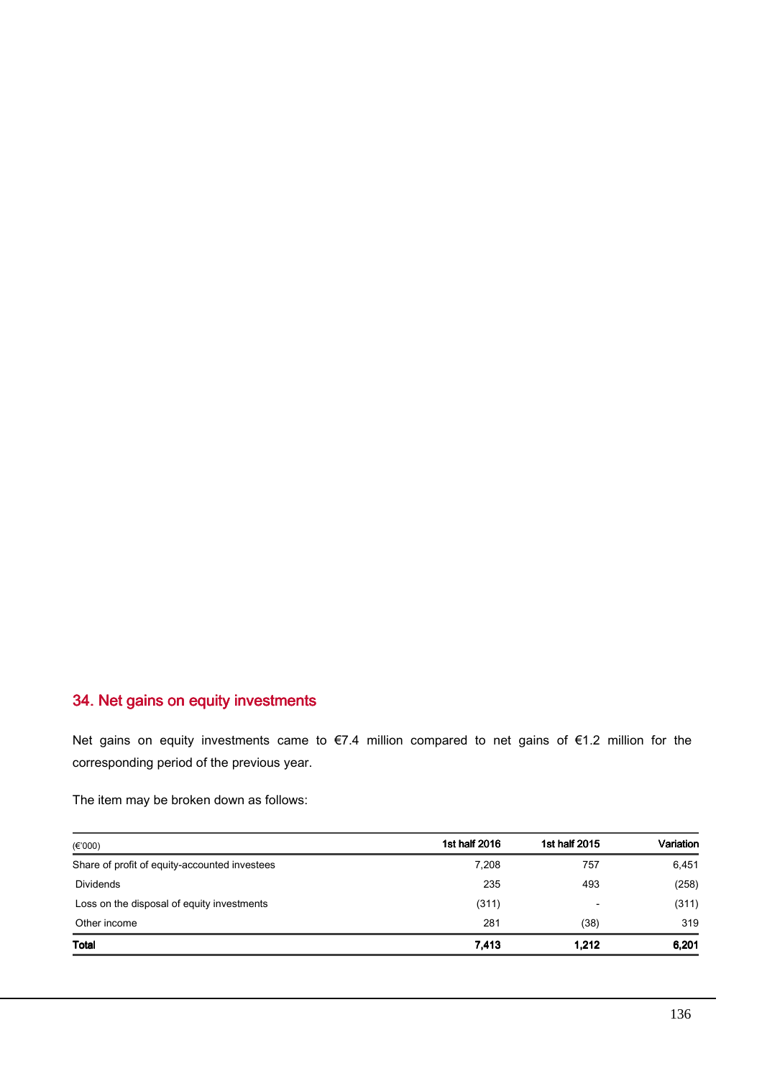## 34. Net gains on equity investments

Net gains on equity investments came to €7.4 million compared to net gains of €1.2 million for the corresponding period of the previous year.

The item may be broken down as follows:

| $(\epsilon$ '000)                             | 1st half 2016 | 1st half 2015            | Variation |
|-----------------------------------------------|---------------|--------------------------|-----------|
| Share of profit of equity-accounted investees | 7.208         | 757                      | 6,451     |
| <b>Dividends</b>                              | 235           | 493                      | (258)     |
| Loss on the disposal of equity investments    | (311)         | $\overline{\phantom{0}}$ | (311)     |
| Other income                                  | 281           | (38)                     | 319       |
| Total                                         | 7,413         | 1.212                    | 6,201     |